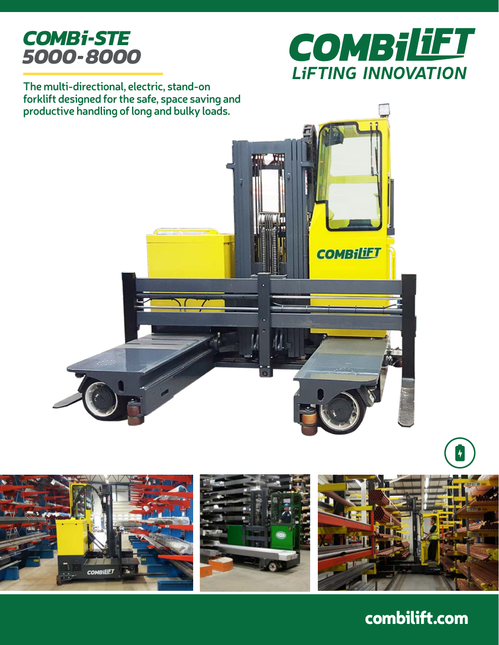## *COMBi-STE 5000-8000*



**The multi-directional, electric, stand-on forklift designed for the safe, space saving and productive handling of long and bulky loads.**









## combilift.com